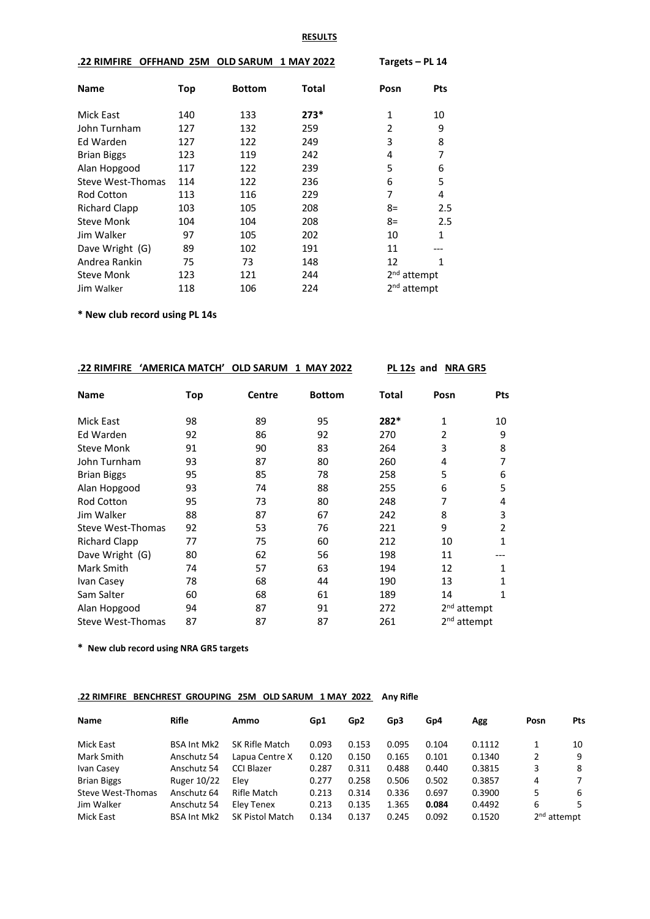## **RESULTS**

| <b>.22 RIMFIRE</b> | <b>OFFHAND 25M</b> | <b>OLD SARUM</b> | 1 MAY 2022 | Targets – PL 14         |            |
|--------------------|--------------------|------------------|------------|-------------------------|------------|
| <b>Name</b>        | Top                | <b>Bottom</b>    | Total      | Posn                    | <b>Pts</b> |
| Mick East          | 140                | 133              | $273*$     | 1                       | 10         |
| John Turnham       | 127                | 132              | 259        | 2                       | 9          |
| Ed Warden          | 127                | 122              | 249        | 3                       | 8          |
| <b>Brian Biggs</b> | 123                | 119              | 242        | 4                       | 7          |
| Alan Hopgood       | 117                | 122              | 239        | 5                       | 6          |
| Steve West-Thomas  | 114                | 122              | 236        | 6                       | 5          |
| <b>Rod Cotton</b>  | 113                | 116              | 229        | 7                       | 4          |
| Richard Clapp      | 103                | 105              | 208        | 8=                      | 2.5        |
| <b>Steve Monk</b>  | 104                | 104              | 208        | 8=                      | 2.5        |
| Jim Walker         | 97                 | 105              | 202        | 10                      | 1          |
| Dave Wright (G)    | 89                 | 102              | 191        | 11                      |            |
| Andrea Rankin      | 75                 | 73               | 148        | 12                      | 1          |
| <b>Steve Monk</b>  | 123                | 121              | 244        | 2 <sup>nd</sup> attempt |            |
| Jim Walker         | 118                | 106              | 224        | 2 <sup>nd</sup> attempt |            |

**\* New club record using PL 14s**

| .22 RIMFIRE          | <u>'AMERICA MATCH'</u> | <b>OLD SARUM</b> | 1 MAY 2022    | PL 12s and |      | <b>NRA GR5</b>          |  |
|----------------------|------------------------|------------------|---------------|------------|------|-------------------------|--|
| <b>Name</b>          | Top                    | <b>Centre</b>    | <b>Bottom</b> | Total      | Posn | Pts                     |  |
| <b>Mick East</b>     | 98                     | 89               | 95            | 282*       | 1    | 10                      |  |
| Ed Warden            | 92                     | 86               | 92            | 270        | 2    | 9                       |  |
| <b>Steve Monk</b>    | 91                     | 90               | 83            | 264        | 3    | 8                       |  |
| John Turnham         | 93                     | 87               | 80            | 260        | 4    | 7                       |  |
| <b>Brian Biggs</b>   | 95                     | 85               | 78            | 258        | 5    | 6                       |  |
| Alan Hopgood         | 93                     | 74               | 88            | 255        | 6    | 5                       |  |
| <b>Rod Cotton</b>    | 95                     | 73               | 80            | 248        | 7    | 4                       |  |
| Jim Walker           | 88                     | 87               | 67            | 242        | 8    | 3                       |  |
| Steve West-Thomas    | 92                     | 53               | 76            | 221        | 9    | 2                       |  |
| <b>Richard Clapp</b> | 77                     | 75               | 60            | 212        | 10   | 1                       |  |
| Dave Wright (G)      | 80                     | 62               | 56            | 198        | 11   |                         |  |
| Mark Smith           | 74                     | 57               | 63            | 194        | 12   | 1                       |  |
| Ivan Casey           | 78                     | 68               | 44            | 190        | 13   | 1                       |  |
| Sam Salter           | 60                     | 68               | 61            | 189        | 14   | 1                       |  |
| Alan Hopgood         | 94                     | 87               | 91            | 272        |      | 2 <sup>nd</sup> attempt |  |
| Steve West-Thomas    | 87                     | 87               | 87            | 261        |      | 2 <sup>nd</sup> attempt |  |

**\* New club record using NRA GR5 targets**

## **.22 RIMFIRE BENCHREST GROUPING 25M OLD SARUM 1 MAY 2022 Any Rifle**

| Name               | <b>Rifle</b>       | Ammo                   | Gp1   | Gp <sub>2</sub> | Gp3   | Gp4   | Agg    | Posn | Pts                     |
|--------------------|--------------------|------------------------|-------|-----------------|-------|-------|--------|------|-------------------------|
| Mick East          | <b>BSA Int Mk2</b> | SK Rifle Match         | 0.093 | 0.153           | 0.095 | 0.104 | 0.1112 |      | 10                      |
| Mark Smith         | Anschutz 54        | Lapua Centre X         | 0.120 | 0.150           | 0.165 | 0.101 | 0.1340 | 2    | 9                       |
| Ivan Casey         | Anschutz 54        | <b>CCI Blazer</b>      | 0.287 | 0.311           | 0.488 | 0.440 | 0.3815 | 3    | 8                       |
| <b>Brian Biggs</b> | Ruger 10/22        | Elev                   | 0.277 | 0.258           | 0.506 | 0.502 | 0.3857 | 4    | 7                       |
| Steve West-Thomas  | Anschutz 64        | Rifle Match            | 0.213 | 0.314           | 0.336 | 0.697 | 0.3900 | 5    | 6                       |
| Jim Walker         | Anschutz 54        | Elev Tenex             | 0.213 | 0.135           | 1.365 | 0.084 | 0.4492 | 6    | 5.                      |
| Mick East          | <b>BSA Int Mk2</b> | <b>SK Pistol Match</b> | 0.134 | 0.137           | 0.245 | 0.092 | 0.1520 |      | 2 <sup>nd</sup> attempt |